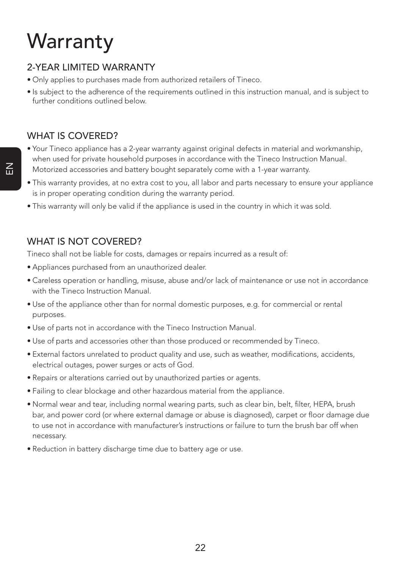# **Warranty**

## 2-YEAR LIMITED WARRANTY

- Only applies to purchases made from authorized retailers of Tineco.
- Is subject to the adherence of the requirements outlined in this instruction manual, and is subject to further conditions outlined below.

## WHAT IS COVERED?

- Your Tineco appliance has a 2-year warranty against original defects in material and workmanship, when used for private household purposes in accordance with the Tineco Instruction Manual. Motorized accessories and battery bought separately come with a 1-year warranty.
- This warranty provides, at no extra cost to you, all labor and parts necessary to ensure your appliance is in proper operating condition during the warranty period.
- This warranty will only be valid if the appliance is used in the country in which it was sold.

### WHAT IS NOT COVERED?

Tineco shall not be liable for costs, damages or repairs incurred as a result of:

- Appliances purchased from an unauthorized dealer.
- Careless operation or handling, misuse, abuse and/or lack of maintenance or use not in accordance with the Tineco Instruction Manual.
- Use of the appliance other than for normal domestic purposes, e.g. for commercial or rental purposes.
- Use of parts not in accordance with the Tineco Instruction Manual.
- Use of parts and accessories other than those produced or recommended by Tineco.
- External factors unrelated to product quality and use, such as weather, modifications, accidents, electrical outages, power surges or acts of God.
- Repairs or alterations carried out by unauthorized parties or agents.
- Failing to clear blockage and other hazardous material from the appliance.
- Normal wear and tear, including normal wearing parts, such as clear bin, belt, filter, HEPA, brush bar, and power cord (or where external damage or abuse is diagnosed), carpet or floor damage due to use not in accordance with manufacturer's instructions or failure to turn the brush bar off when necessary.
- Reduction in battery discharge time due to battery age or use.